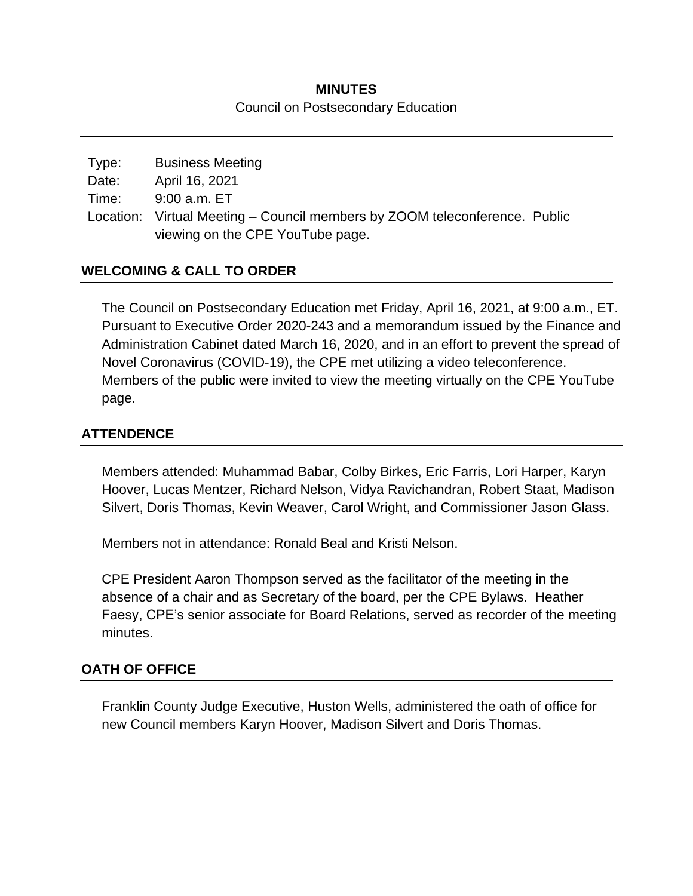### **MINUTES** Council on Postsecondary Education

| Type: | <b>Business Meeting</b>                                                    |  |
|-------|----------------------------------------------------------------------------|--|
| Date: | April 16, 2021                                                             |  |
| Time: | 9:00 a.m. ET                                                               |  |
|       | Location: Virtual Meeting – Council members by ZOOM teleconference. Public |  |
|       | viewing on the CPE YouTube page.                                           |  |

## **WELCOMING & CALL TO ORDER**

The Council on Postsecondary Education met Friday, April 16, 2021, at 9:00 a.m., ET. Pursuant to Executive Order 2020-243 and a memorandum issued by the Finance and Administration Cabinet dated March 16, 2020, and in an effort to prevent the spread of Novel Coronavirus (COVID-19), the CPE met utilizing a video teleconference. Members of the public were invited to view the meeting virtually on the CPE YouTube page.

## **ATTENDENCE**

Members attended: Muhammad Babar, Colby Birkes, Eric Farris, Lori Harper, Karyn Hoover, Lucas Mentzer, Richard Nelson, Vidya Ravichandran, Robert Staat, Madison Silvert, Doris Thomas, Kevin Weaver, Carol Wright, and Commissioner Jason Glass.

Members not in attendance: Ronald Beal and Kristi Nelson.

CPE President Aaron Thompson served as the facilitator of the meeting in the absence of a chair and as Secretary of the board, per the CPE Bylaws. Heather Faesy, CPE's senior associate for Board Relations, served as recorder of the meeting minutes.

### **OATH OF OFFICE**

Franklin County Judge Executive, Huston Wells, administered the oath of office for new Council members Karyn Hoover, Madison Silvert and Doris Thomas.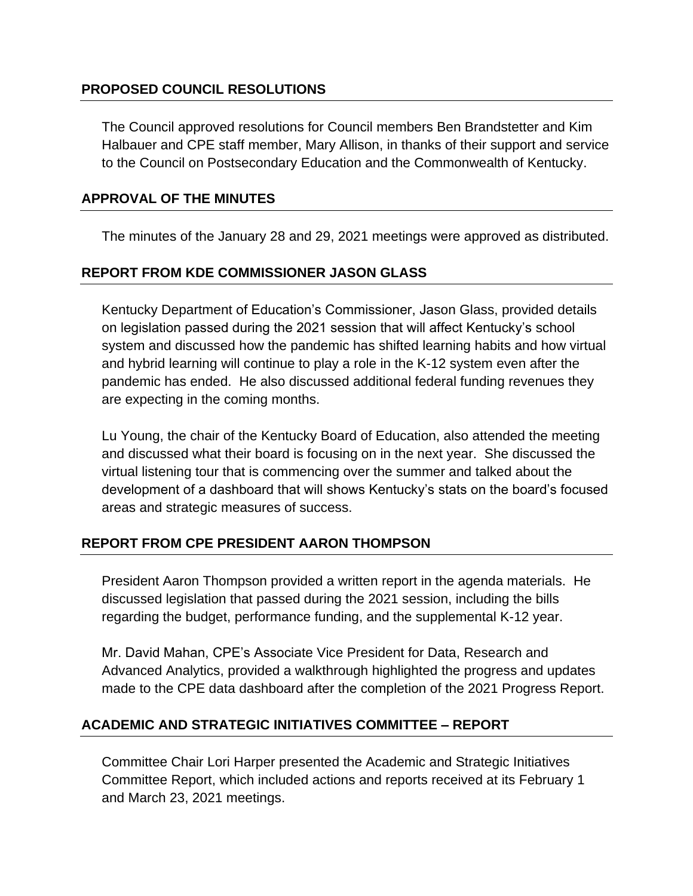### **PROPOSED COUNCIL RESOLUTIONS**

The Council approved resolutions for Council members Ben Brandstetter and Kim Halbauer and CPE staff member, Mary Allison, in thanks of their support and service to the Council on Postsecondary Education and the Commonwealth of Kentucky.

### **APPROVAL OF THE MINUTES**

The minutes of the January 28 and 29, 2021 meetings were approved as distributed.

### **REPORT FROM KDE COMMISSIONER JASON GLASS**

Kentucky Department of Education's Commissioner, Jason Glass, provided details on legislation passed during the 2021 session that will affect Kentucky's school system and discussed how the pandemic has shifted learning habits and how virtual and hybrid learning will continue to play a role in the K-12 system even after the pandemic has ended. He also discussed additional federal funding revenues they are expecting in the coming months.

Lu Young, the chair of the Kentucky Board of Education, also attended the meeting and discussed what their board is focusing on in the next year. She discussed the virtual listening tour that is commencing over the summer and talked about the development of a dashboard that will shows Kentucky's stats on the board's focused areas and strategic measures of success.

### **REPORT FROM CPE PRESIDENT AARON THOMPSON**

President Aaron Thompson provided a written report in the agenda materials. He discussed legislation that passed during the 2021 session, including the bills regarding the budget, performance funding, and the supplemental K-12 year.

Mr. David Mahan, CPE's Associate Vice President for Data, Research and Advanced Analytics, provided a walkthrough highlighted the progress and updates made to the CPE data dashboard after the completion of the 2021 Progress Report.

### **ACADEMIC AND STRATEGIC INITIATIVES COMMITTEE – REPORT**

Committee Chair Lori Harper presented the Academic and Strategic Initiatives Committee Report, which included actions and reports received at its February 1 and March 23, 2021 meetings.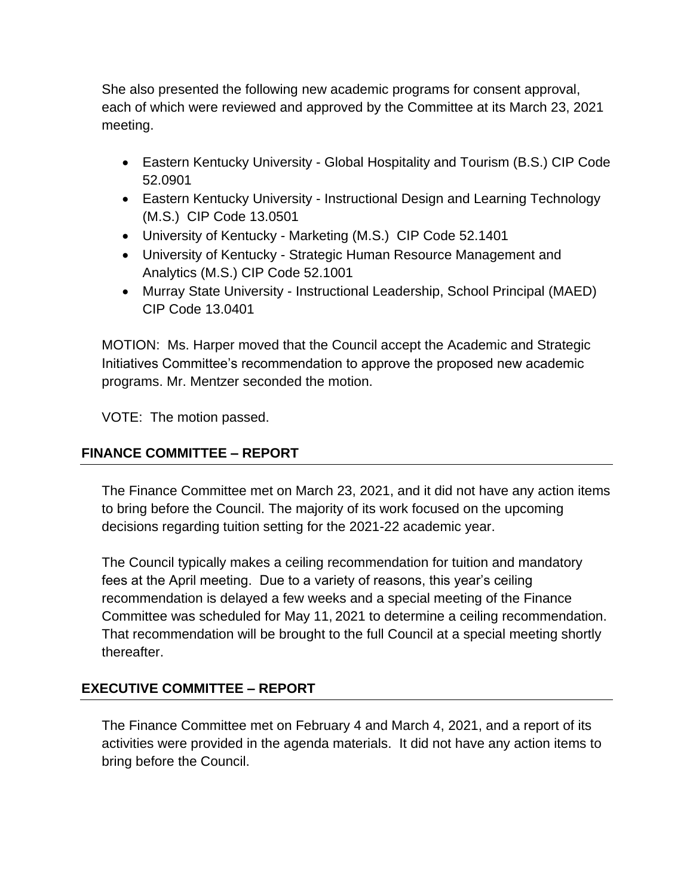She also presented the following new academic programs for consent approval, each of which were reviewed and approved by the Committee at its March 23, 2021 meeting.

- Eastern Kentucky University Global Hospitality and Tourism (B.S.) CIP Code 52.0901
- Eastern Kentucky University Instructional Design and Learning Technology (M.S.) CIP Code 13.0501
- University of Kentucky Marketing (M.S.) CIP Code 52.1401
- University of Kentucky Strategic Human Resource Management and Analytics (M.S.) CIP Code 52.1001
- Murray State University Instructional Leadership, School Principal (MAED) CIP Code 13.0401

MOTION: Ms. Harper moved that the Council accept the Academic and Strategic Initiatives Committee's recommendation to approve the proposed new academic programs. Mr. Mentzer seconded the motion.

VOTE: The motion passed.

# **FINANCE COMMITTEE – REPORT**

The Finance Committee met on March 23, 2021, and it did not have any action items to bring before the Council. The majority of its work focused on the upcoming decisions regarding tuition setting for the 2021-22 academic year.

The Council typically makes a ceiling recommendation for tuition and mandatory fees at the April meeting. Due to a variety of reasons, this year's ceiling recommendation is delayed a few weeks and a special meeting of the Finance Committee was scheduled for May 11, 2021 to determine a ceiling recommendation. That recommendation will be brought to the full Council at a special meeting shortly thereafter.

## **EXECUTIVE COMMITTEE – REPORT**

The Finance Committee met on February 4 and March 4, 2021, and a report of its activities were provided in the agenda materials. It did not have any action items to bring before the Council.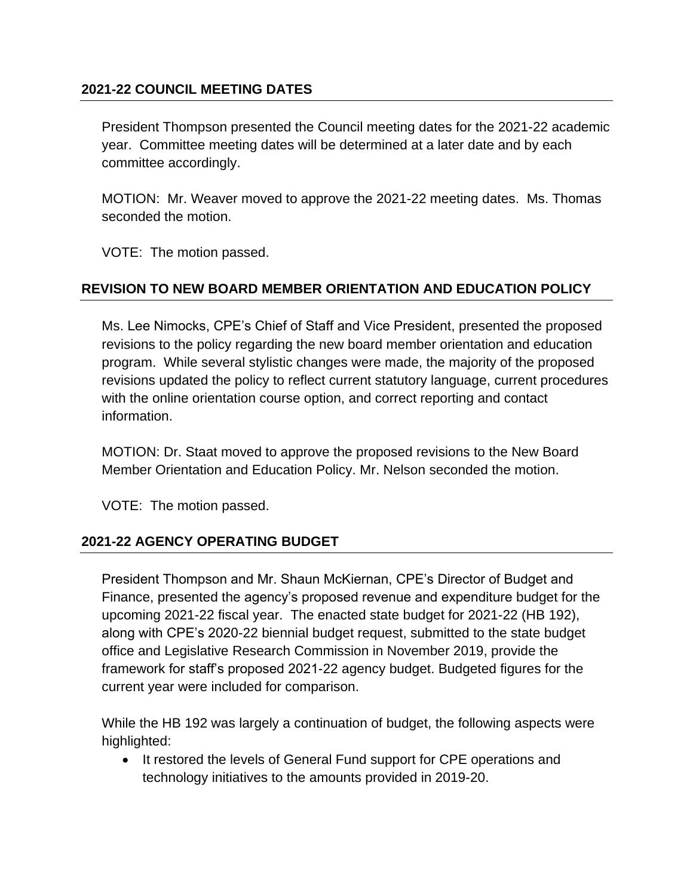### **2021-22 COUNCIL MEETING DATES**

President Thompson presented the Council meeting dates for the 2021-22 academic year. Committee meeting dates will be determined at a later date and by each committee accordingly.

MOTION: Mr. Weaver moved to approve the 2021-22 meeting dates. Ms. Thomas seconded the motion.

VOTE: The motion passed.

### **REVISION TO NEW BOARD MEMBER ORIENTATION AND EDUCATION POLICY**

Ms. Lee Nimocks, CPE's Chief of Staff and Vice President, presented the proposed revisions to the policy regarding the new board member orientation and education program. While several stylistic changes were made, the majority of the proposed revisions updated the policy to reflect current statutory language, current procedures with the online orientation course option, and correct reporting and contact information.

MOTION: Dr. Staat moved to approve the proposed revisions to the New Board Member Orientation and Education Policy. Mr. Nelson seconded the motion.

VOTE: The motion passed.

#### **2021-22 AGENCY OPERATING BUDGET**

President Thompson and Mr. Shaun McKiernan, CPE's Director of Budget and Finance, presented the agency's proposed revenue and expenditure budget for the upcoming 2021-22 fiscal year. The enacted state budget for 2021-22 (HB 192), along with CPE's 2020-22 biennial budget request, submitted to the state budget office and Legislative Research Commission in November 2019, provide the framework for staff's proposed 2021-22 agency budget. Budgeted figures for the current year were included for comparison.

While the HB 192 was largely a continuation of budget, the following aspects were highlighted:

• It restored the levels of General Fund support for CPE operations and technology initiatives to the amounts provided in 2019-20.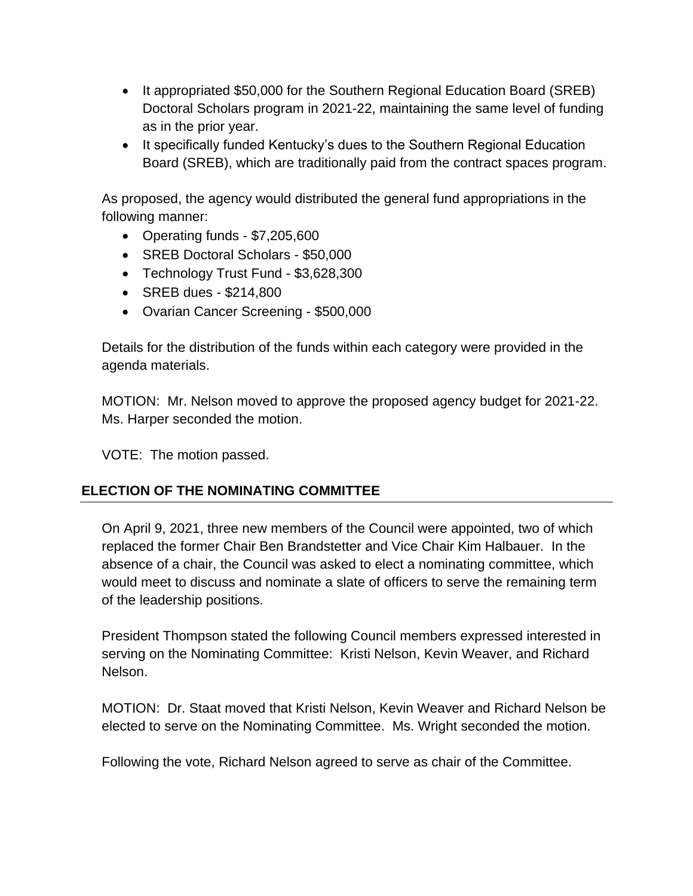- It appropriated \$50,000 for the Southern Regional Education Board (SREB) Doctoral Scholars program in 2021-22, maintaining the same level of funding as in the prior year.
- It specifically funded Kentucky's dues to the Southern Regional Education Board (SREB), which are traditionally paid from the contract spaces program.

As proposed, the agency would distributed the general fund appropriations in the following manner:

- Operating funds \$7,205,600
- SREB Doctoral Scholars \$50,000
- Technology Trust Fund \$3,628,300
- SREB dues \$214,800
- Ovarian Cancer Screening \$500,000

Details for the distribution of the funds within each category were provided in the agenda materials.

MOTION: Mr. Nelson moved to approve the proposed agency budget for 2021-22. Ms. Harper seconded the motion.

VOTE: The motion passed.

## **ELECTION OF THE NOMINATING COMMITTEE**

On April 9, 2021, three new members of the Council were appointed, two of which replaced the former Chair Ben Brandstetter and Vice Chair Kim Halbauer. In the absence of a chair, the Council was asked to elect a nominating committee, which would meet to discuss and nominate a slate of officers to serve the remaining term of the leadership positions.

President Thompson stated the following Council members expressed interested in serving on the Nominating Committee: Kristi Nelson, Kevin Weaver, and Richard Nelson.

MOTION: Dr. Staat moved that Kristi Nelson, Kevin Weaver and Richard Nelson be elected to serve on the Nominating Committee. Ms. Wright seconded the motion.

Following the vote, Richard Nelson agreed to serve as chair of the Committee.